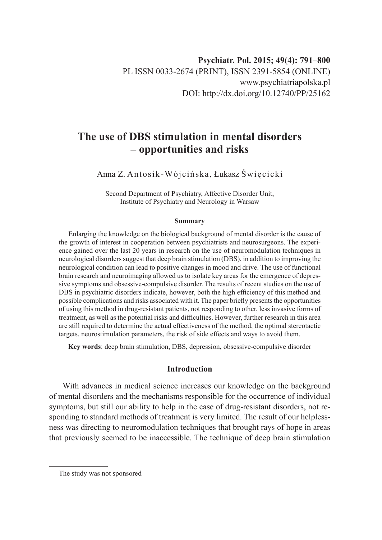# **The use of DBS stimulation in mental disorders – opportunities and risks**

Anna Z. Antosik-Wójcińska, Łukasz Święcicki

Second Department of Psychiatry, Affective Disorder Unit, Institute of Psychiatry and Neurology in Warsaw

#### **Summary**

Enlarging the knowledge on the biological background of mental disorder is the cause of the growth of interest in cooperation between psychiatrists and neurosurgeons. The experience gained over the last 20 years in research on the use of neuromodulation techniques in neurological disorders suggest that deep brain stimulation (DBS), in addition to improving the neurological condition can lead to positive changes in mood and drive. The use of functional brain research and neuroimaging allowed us to isolate key areas for the emergence of depressive symptoms and obsessive-compulsive disorder. The results of recent studies on the use of DBS in psychiatric disorders indicate, however, both the high efficiency of this method and possible complications and risks associated with it. The paper briefly presents the opportunities of using this method in drug-resistant patients, not responding to other, less invasive forms of treatment, as well as the potential risks and difficulties. However, further research in this area are still required to determine the actual effectiveness of the method, the optimal stereotactic targets, neurostimulation parameters, the risk of side effects and ways to avoid them.

**Key words**: deep brain stimulation, DBS, depression, obsessive-compulsive disorder

## **Introduction**

With advances in medical science increases our knowledge on the background of mental disorders and the mechanisms responsible for the occurrence of individual symptoms, but still our ability to help in the case of drug-resistant disorders, not responding to standard methods of treatment is very limited. The result of our helplessness was directing to neuromodulation techniques that brought rays of hope in areas that previously seemed to be inaccessible. The technique of deep brain stimulation

The study was not sponsored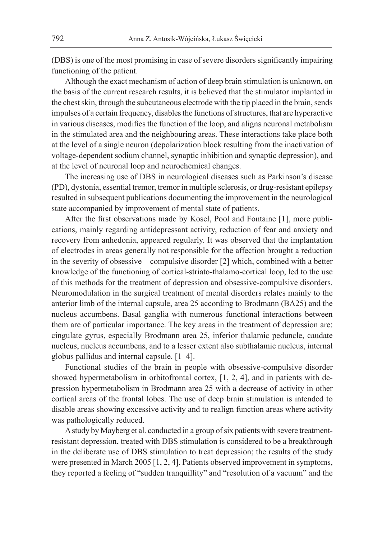(DBS) is one of the most promising in case of severe disorders significantly impairing functioning of the patient.

Although the exact mechanism of action of deep brain stimulation is unknown, on the basis of the current research results, it is believed that the stimulator implanted in the chest skin, through the subcutaneous electrode with the tip placed in the brain, sends impulses of a certain frequency, disables the functions of structures, that are hyperactive in various diseases, modifies the function of the loop, and aligns neuronal metabolism in the stimulated area and the neighbouring areas. These interactions take place both at the level of a single neuron (depolarization block resulting from the inactivation of voltage-dependent sodium channel, synaptic inhibition and synaptic depression), and at the level of neuronal loop and neurochemical changes.

The increasing use of DBS in neurological diseases such as Parkinson's disease (PD), dystonia, essential tremor, tremor in multiple sclerosis, or drug-resistant epilepsy resulted in subsequent publications documenting the improvement in the neurological state accompanied by improvement of mental state of patients.

After the first observations made by Kosel, Pool and Fontaine [1], more publications, mainly regarding antidepressant activity, reduction of fear and anxiety and recovery from anhedonia, appeared regularly. It was observed that the implantation of electrodes in areas generally not responsible for the affection brought a reduction in the severity of obsessive – compulsive disorder [2] which, combined with a better knowledge of the functioning of cortical-striato-thalamo-cortical loop, led to the use of this methods for the treatment of depression and obsessive-compulsive disorders. Neuromodulation in the surgical treatment of mental disorders relates mainly to the anterior limb of the internal capsule, area 25 according to Brodmann (BA25) and the nucleus accumbens. Basal ganglia with numerous functional interactions between them are of particular importance. The key areas in the treatment of depression are: cingulate gyrus, especially Brodmann area 25, inferior thalamic peduncle, caudate nucleus, nucleus accumbens, and to a lesser extent also subthalamic nucleus, internal globus pallidus and internal capsule. [1–4].

Functional studies of the brain in people with obsessive-compulsive disorder showed hypermetabolism in orbitofrontal cortex, [1, 2, 4], and in patients with depression hypermetabolism in Brodmann area 25 with a decrease of activity in other cortical areas of the frontal lobes. The use of deep brain stimulation is intended to disable areas showing excessive activity and to realign function areas where activity was pathologically reduced.

A study by Mayberg et al. conducted in a group of six patients with severe treatmentresistant depression, treated with DBS stimulation is considered to be a breakthrough in the deliberate use of DBS stimulation to treat depression; the results of the study were presented in March 2005 [1, 2, 4]. Patients observed improvement in symptoms, they reported a feeling of "sudden tranquillity" and "resolution of a vacuum" and the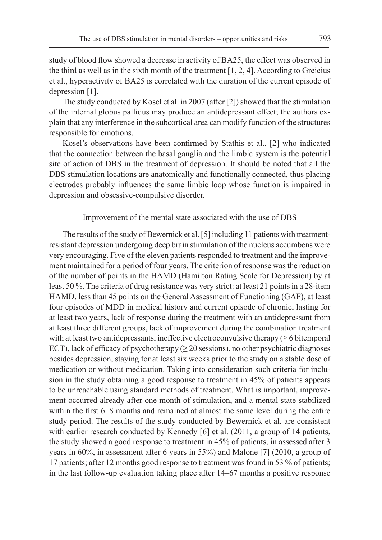study of blood flow showed a decrease in activity of BA25, the effect was observed in the third as well as in the sixth month of the treatment  $[1, 2, 4]$ . According to Greicius et al., hyperactivity of BA25 is correlated with the duration of the current episode of depression [1].

The study conducted by Kosel et al. in 2007 (after [2]) showed that the stimulation of the internal globus pallidus may produce an antidepressant effect; the authors explain that any interference in the subcortical area can modify function of the structures responsible for emotions.

Kosel's observations have been confirmed by Stathis et al., [2] who indicated that the connection between the basal ganglia and the limbic system is the potential site of action of DBS in the treatment of depression. It should be noted that all the DBS stimulation locations are anatomically and functionally connected, thus placing electrodes probably influences the same limbic loop whose function is impaired in depression and obsessive-compulsive disorder.

#### Improvement of the mental state associated with the use of DBS

The results of the study of Bewernick et al. [5] including 11 patients with treatmentresistant depression undergoing deep brain stimulation of the nucleus accumbens were very encouraging. Five of the eleven patients responded to treatment and the improvement maintained for a period of four years. The criterion of response was the reduction of the number of points in the HAMD (Hamilton Rating Scale for Depression) by at least 50 %. The criteria of drug resistance was very strict: at least 21 points in a 28-item HAMD, less than 45 points on the General Assessment of Functioning (GAF), at least four episodes of MDD in medical history and current episode of chronic, lasting for at least two years, lack of response during the treatment with an antidepressant from at least three different groups, lack of improvement during the combination treatment with at least two antidepressants, ineffective electroconvulsive therapy ( $\geq 6$  bitemporal ECT), lack of efficacy of psychotherapy ( $\geq$  20 sessions), no other psychiatric diagnoses besides depression, staying for at least six weeks prior to the study on a stable dose of medication or without medication. Taking into consideration such criteria for inclusion in the study obtaining a good response to treatment in 45% of patients appears to be unreachable using standard methods of treatment. What is important, improvement occurred already after one month of stimulation, and a mental state stabilized within the first 6–8 months and remained at almost the same level during the entire study period. The results of the study conducted by Bewernick et al. are consistent with earlier research conducted by Kennedy [6] et al. (2011, a group of 14 patients, the study showed a good response to treatment in 45% of patients, in assessed after 3 years in 60%, in assessment after 6 years in 55%) and Malone [7] (2010, a group of 17 patients; after 12 months good response to treatment was found in 53 % of patients; in the last follow-up evaluation taking place after 14–67 months a positive response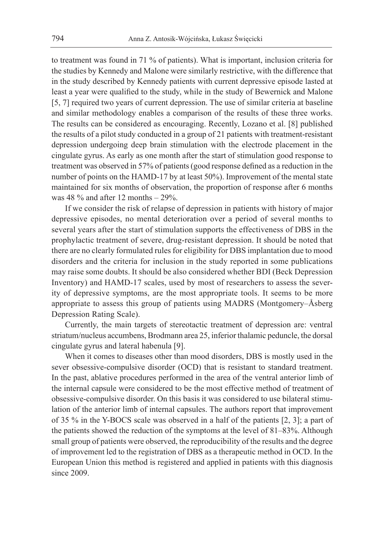to treatment was found in 71 % of patients). What is important, inclusion criteria for the studies by Kennedy and Malone were similarly restrictive, with the difference that in the study described by Kennedy patients with current depressive episode lasted at least a year were qualified to the study, while in the study of Bewernick and Malone [5, 7] required two years of current depression. The use of similar criteria at baseline and similar methodology enables a comparison of the results of these three works. The results can be considered as encouraging. Recently, Lozano et al. [8] published the results of a pilot study conducted in a group of 21 patients with treatment-resistant depression undergoing deep brain stimulation with the electrode placement in the cingulate gyrus. As early as one month after the start of stimulation good response to treatment was observed in 57% of patients (good response defined as a reduction in the number of points on the HAMD-17 by at least 50%). Improvement of the mental state maintained for six months of observation, the proportion of response after 6 months was 48  $\%$  and after 12 months  $-$  29 $\%$ .

If we consider the risk of relapse of depression in patients with history of major depressive episodes, no mental deterioration over a period of several months to several years after the start of stimulation supports the effectiveness of DBS in the prophylactic treatment of severe, drug-resistant depression. It should be noted that there are no clearly formulated rules for eligibility for DBS implantation due to mood disorders and the criteria for inclusion in the study reported in some publications may raise some doubts. It should be also considered whether BDI (Beck Depression Inventory) and HAMD-17 scales, used by most of researchers to assess the severity of depressive symptoms, are the most appropriate tools. It seems to be more appropriate to assess this group of patients using MADRS (Montgomery–Åsberg Depression Rating Scale).

Currently, the main targets of stereotactic treatment of depression are: ventral striatum/nucleus accumbens, Brodmann area 25, inferior thalamic peduncle, the dorsal cingulate gyrus and lateral habenula [9].

When it comes to diseases other than mood disorders, DBS is mostly used in the sever obsessive-compulsive disorder (OCD) that is resistant to standard treatment. In the past, ablative procedures performed in the area of the ventral anterior limb of the internal capsule were considered to be the most effective method of treatment of obsessive-compulsive disorder. On this basis it was considered to use bilateral stimulation of the anterior limb of internal capsules. The authors report that improvement of 35 % in the Y-BOCS scale was observed in a half of the patients [2, 3]; a part of the patients showed the reduction of the symptoms at the level of 81–83%. Although small group of patients were observed, the reproducibility of the results and the degree of improvement led to the registration of DBS as a therapeutic method in OCD. In the European Union this method is registered and applied in patients with this diagnosis since 2009.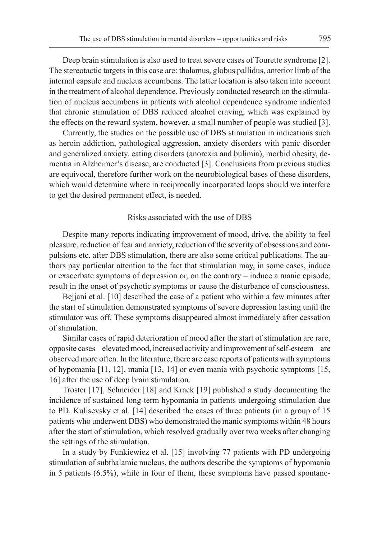Deep brain stimulation is also used to treat severe cases of Tourette syndrome [2]. The stereotactic targets in this case are: thalamus, globus pallidus, anterior limb of the internal capsule and nucleus accumbens. The latter location is also taken into account in the treatment of alcohol dependence. Previously conducted research on the stimulation of nucleus accumbens in patients with alcohol dependence syndrome indicated that chronic stimulation of DBS reduced alcohol craving, which was explained by the effects on the reward system, however, a small number of people was studied [3].

Currently, the studies on the possible use of DBS stimulation in indications such as heroin addiction, pathological aggression, anxiety disorders with panic disorder and generalized anxiety, eating disorders (anorexia and bulimia), morbid obesity, dementia in Alzheimer's disease, are conducted [3]. Conclusions from previous studies are equivocal, therefore further work on the neurobiological bases of these disorders, which would determine where in reciprocally incorporated loops should we interfere to get the desired permanent effect, is needed.

#### Risks associated with the use of DBS

Despite many reports indicating improvement of mood, drive, the ability to feel pleasure, reduction of fear and anxiety, reduction of the severity of obsessions and compulsions etc. after DBS stimulation, there are also some critical publications. The authors pay particular attention to the fact that stimulation may, in some cases, induce or exacerbate symptoms of depression or, on the contrary – induce a manic episode, result in the onset of psychotic symptoms or cause the disturbance of consciousness.

Bejjani et al. [10] described the case of a patient who within a few minutes after the start of stimulation demonstrated symptoms of severe depression lasting until the stimulator was off. These symptoms disappeared almost immediately after cessation of stimulation.

Similar cases of rapid deterioration of mood after the start of stimulation are rare, opposite cases – elevated mood, increased activity and improvement of self-esteem – are observed more often. In the literature, there are case reports of patients with symptoms of hypomania [11, 12], mania [13, 14] or even mania with psychotic symptoms [15, 16] after the use of deep brain stimulation.

Troster [17], Schneider [18] and Krack [19] published a study documenting the incidence of sustained long-term hypomania in patients undergoing stimulation due to PD. Kulisevsky et al. [14] described the cases of three patients (in a group of 15 patients who underwent DBS) who demonstrated the manic symptoms within 48 hours after the start of stimulation, which resolved gradually over two weeks after changing the settings of the stimulation.

In a study by Funkiewiez et al. [15] involving 77 patients with PD undergoing stimulation of subthalamic nucleus, the authors describe the symptoms of hypomania in 5 patients (6.5%), while in four of them, these symptoms have passed spontane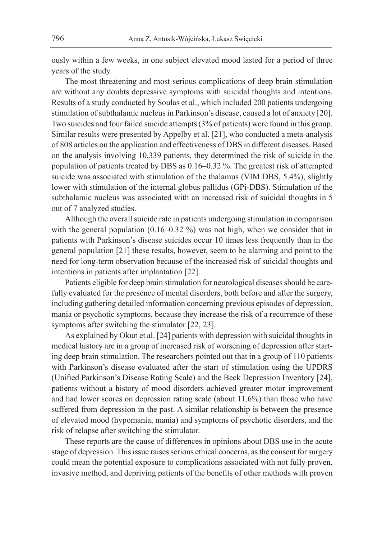ously within a few weeks, in one subject elevated mood lasted for a period of three years of the study.

The most threatening and most serious complications of deep brain stimulation are without any doubts depressive symptoms with suicidal thoughts and intentions. Results of a study conducted by Soulas et al., which included 200 patients undergoing stimulation of subthalamic nucleus in Parkinson's disease, caused a lot of anxiety [20]. Two suicides and four failed suicide attempts (3% of patients) were found in this group. Similar results were presented by Appelby et al. [21], who conducted a meta-analysis of 808 articles on the application and effectiveness of DBS in different diseases. Based on the analysis involving 10,339 patients, they determined the risk of suicide in the population of patients treated by DBS as 0.16–0.32 %. The greatest risk of attempted suicide was associated with stimulation of the thalamus (VIM DBS, 5.4%), slightly lower with stimulation of the internal globus pallidus (GPi-DBS). Stimulation of the subthalamic nucleus was associated with an increased risk of suicidal thoughts in 5 out of 7 analyzed studies.

Although the overall suicide rate in patients undergoing stimulation in comparison with the general population (0.16–0.32 %) was not high, when we consider that in patients with Parkinson's disease suicides occur 10 times less frequently than in the general population [21] these results, however, seem to be alarming and point to the need for long-term observation because of the increased risk of suicidal thoughts and intentions in patients after implantation [22].

Patients eligible for deep brain stimulation for neurological diseases should be carefully evaluated for the presence of mental disorders, both before and after the surgery, including gathering detailed information concerning previous episodes of depression, mania or psychotic symptoms, because they increase the risk of a recurrence of these symptoms after switching the stimulator [22, 23].

As explained by Okun et al. [24] patients with depression with suicidal thoughts in medical history are in a group of increased risk of worsening of depression after starting deep brain stimulation. The researchers pointed out that in a group of 110 patients with Parkinson's disease evaluated after the start of stimulation using the UPDRS (Unified Parkinson's Disease Rating Scale) and the Beck Depression Inventory [24], patients without a history of mood disorders achieved greater motor improvement and had lower scores on depression rating scale (about 11.6%) than those who have suffered from depression in the past. A similar relationship is between the presence of elevated mood (hypomania, mania) and symptoms of psychotic disorders, and the risk of relapse after switching the stimulator.

These reports are the cause of differences in opinions about DBS use in the acute stage of depression. This issue raises serious ethical concerns, as the consent for surgery could mean the potential exposure to complications associated with not fully proven, invasive method, and depriving patients of the benefits of other methods with proven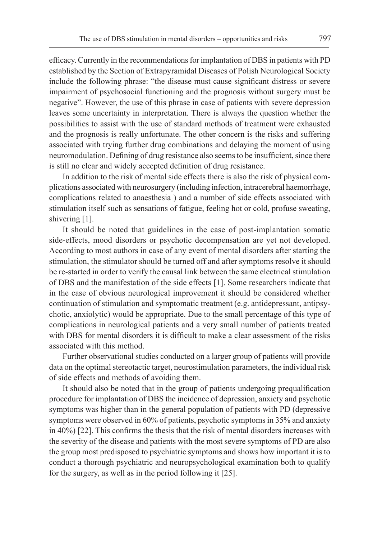efficacy. Currently in the recommendations for implantation of DBS in patients with PD established by the Section of Extrapyramidal Diseases of Polish Neurological Society include the following phrase: "the disease must cause significant distress or severe impairment of psychosocial functioning and the prognosis without surgery must be negative". However, the use of this phrase in case of patients with severe depression leaves some uncertainty in interpretation. There is always the question whether the possibilities to assist with the use of standard methods of treatment were exhausted and the prognosis is really unfortunate. The other concern is the risks and suffering associated with trying further drug combinations and delaying the moment of using neuromodulation. Defining of drug resistance also seems to be insufficient, since there is still no clear and widely accepted definition of drug resistance.

In addition to the risk of mental side effects there is also the risk of physical complications associated with neurosurgery (including infection, intracerebral haemorrhage, complications related to anaesthesia ) and a number of side effects associated with stimulation itself such as sensations of fatigue, feeling hot or cold, profuse sweating, shivering [1].

It should be noted that guidelines in the case of post-implantation somatic side-effects, mood disorders or psychotic decompensation are yet not developed. According to most authors in case of any event of mental disorders after starting the stimulation, the stimulator should be turned off and after symptoms resolve it should be re-started in order to verify the causal link between the same electrical stimulation of DBS and the manifestation of the side effects [1]. Some researchers indicate that in the case of obvious neurological improvement it should be considered whether continuation of stimulation and symptomatic treatment (e.g. antidepressant, antipsychotic, anxiolytic) would be appropriate. Due to the small percentage of this type of complications in neurological patients and a very small number of patients treated with DBS for mental disorders it is difficult to make a clear assessment of the risks associated with this method.

Further observational studies conducted on a larger group of patients will provide data on the optimal stereotactic target, neurostimulation parameters, the individual risk of side effects and methods of avoiding them.

It should also be noted that in the group of patients undergoing prequalification procedure for implantation of DBS the incidence of depression, anxiety and psychotic symptoms was higher than in the general population of patients with PD (depressive symptoms were observed in 60% of patients, psychotic symptoms in 35% and anxiety in 40%) [22]. This confirms the thesis that the risk of mental disorders increases with the severity of the disease and patients with the most severe symptoms of PD are also the group most predisposed to psychiatric symptoms and shows how important it is to conduct a thorough psychiatric and neuropsychological examination both to qualify for the surgery, as well as in the period following it [25].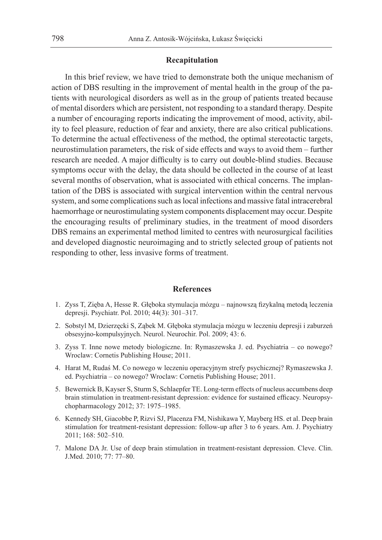### **Recapitulation**

In this brief review, we have tried to demonstrate both the unique mechanism of action of DBS resulting in the improvement of mental health in the group of the patients with neurological disorders as well as in the group of patients treated because of mental disorders which are persistent, not responding to a standard therapy. Despite a number of encouraging reports indicating the improvement of mood, activity, ability to feel pleasure, reduction of fear and anxiety, there are also critical publications. To determine the actual effectiveness of the method, the optimal stereotactic targets, neurostimulation parameters, the risk of side effects and ways to avoid them – further research are needed. A major difficulty is to carry out double-blind studies. Because symptoms occur with the delay, the data should be collected in the course of at least several months of observation, what is associated with ethical concerns. The implantation of the DBS is associated with surgical intervention within the central nervous system, and some complications such as local infections and massive fatal intracerebral haemorrhage or neurostimulating system components displacement may occur. Despite the encouraging results of preliminary studies, in the treatment of mood disorders DBS remains an experimental method limited to centres with neurosurgical facilities and developed diagnostic neuroimaging and to strictly selected group of patients not responding to other, less invasive forms of treatment.

#### **References**

- 1. Zyss T, Zięba A, Hesse R. Głęboka stymulacja mózgu najnowszą fizykalną metodą leczenia depresji. Psychiatr. Pol. 2010; 44(3): 301–317.
- 2. Sobstyl M, Dzierzęcki S, Ząbek M. Głęboka stymulacja mózgu w leczeniu depresji i zaburzeń obsesyjno-kompulsyjnych. Neurol. Neurochir. Pol. 2009; 43: 6.
- 3. Zyss T. Inne nowe metody biologiczne. In: Rymaszewska J. ed. Psychiatria co nowego? Wroclaw: Cornetis Publishing House; 2011.
- 4. Harat M, Rudaś M. Co nowego w leczeniu operacyjnym strefy psychicznej? Rymaszewska J. ed. Psychiatria – co nowego? Wroclaw: Cornetis Publishing House; 2011.
- 5. Bewernick B, Kayser S, Sturm S, Schlaepfer TE. Long-term effects of nucleus accumbens deep brain stimulation in treatment-resistant depression: evidence for sustained efficacy. Neuropsychopharmacology 2012; 37: 1975–1985.
- 6. Kennedy SH, Giacobbe P, Rizvi SJ, Placenza FM, Nishikawa Y, Mayberg HS. et al. Deep brain stimulation for treatment-resistant depression: follow-up after 3 to 6 years. Am. J. Psychiatry 2011; 168: 502–510.
- 7. Malone DA Jr. Use of deep brain stimulation in treatment-resistant depression. Cleve. Clin. J.Med. 2010; 77: 77–80.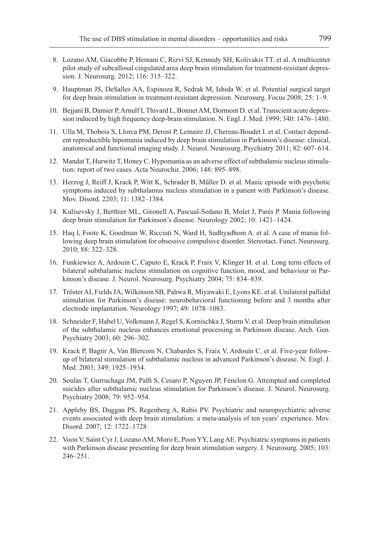- 8. Lozano AM, Giacobbe P, Hemani C, Rizvi SJ, Kennedy SH, Kolivakis TT. et al. A multicenter pilot study of subcallosal cingulated area deep brain stimulation for treatment-resistant depression. J. Neurosurg. 2012; 116: 315–322.
- 9. Hauptman JS, DeSalles AA, Espinoza R, Sedrak M, Ishida W. et al. Potential surgical target for deep brain stimulation in treatment-resistant depression. Neurosurg. Focus 2008; 25: 1–9.
- 10. Bejjani B, Damier P, Arnulf I, Thivard L, Bonnet AM, Dormont D. et al. Transcient acute depression induced by high frequency deep-brain stimulation. N. Engl. J. Med. 1999; 340: 1476–1480.
- 11. Ulla M, Thobois S, Llorca PM, Derost P, Lemaire JJ, Chereau-Boudet I. et al. Contact dependent reproductible hipomania induced by deep brain stimulation in Parkinson's disease: clinical, anatomical and functional imaging study. J. Neurol. Neurosurg. Psychiatry 2011; 82: 607–614.
- 12. Mandat T, Hurwitz T, Honey C. Hypomania as an adverse effect of subthalamic nucleus stimulation: report of two cases. Acta Neurochir. 2006; 148: 895–898.
- 13. Herzog J, Reiff J, Krack P, Witt K, Schrader B, Müller D. et al. Manic episode with psychotic symptoms induced by subthalamus nucleus stimulation in a patient with Parkinson's disease. Mov. Disord. 2203; 11: 1382–1384.
- 14. Kulisevsky J, Berthier ML, Gironell A, Pascual-Sedano B, Molet J, Parés P. Mania following deep brain stimulation for Parkinson's disease. Neurology 2002; 10: 1421–1424.
- 15. Haq I, Foote K, Goodman W, Ricciuti N, Ward H, Sudhyadhom A. et al. A case of mania following deep brain stimulation for obsessive compulsive disorder. Stereotact. Funct. Neurosurg. 2010; 88: 322–328.
- 16. Funkiewiez A, Ardouin C, Caputo E, Krack P, Fraix V, Klinger H. et al. Long term effects of bilateral subthalamic nucleus stimulation on cognitive function, mood, and behaviour in Parkinson's disease. J. Neurol. Neurosurg. Psychiatry 2004; 75: 834–839.
- 17. Tröster AI, Fields JA, Wilkinson SB, Pahwa R, Miyawaki E, Lyons KE. et al. Unilateral pallidal stimulation for Parkinson's disease: neurobehavioral functioning before and 3 months after electrode implantation. Neurology 1997; 49: 1078–1083.
- 18. Schneider F, Habel U, Volkmann J, Regel S, Kornischka J, Sturm V. et al. Deep brain stimulation of the subthalamic nucleus enhances emotional processing in Parkinson disease. Arch. Gen. Psychiatry 2003; 60: 296–302.
- 19. Krack P, Bagtir A, Van Blercom N, Chabardes S, Fraix V, Ardouin C. et al. Five-year followup of bilateral stimulation of subthalamic nucleus in advanced Parkinson's disease. N. Engl. J. Med. 2003; 349: 1925–1934.
- 20. Soulas T, Gurruchaga JM, Palfi S, Cesaro P, Nguyen JP, Fénelon G. Attempted and completed suicides after subthalamic nucleus stimulation for Parkinson's disease. J. Neurol. Neurosurg. Psychiatry 2008; 79: 952–954.
- 21. Appleby BS, Duggan PS, Regenberg A, Rabis PV. Psychiatric and neuropsychiatric adverse events associated with deep brain stimulation: a meta-analysis of ten years' experience. Mov. Disord. 2007; 12: 1722–1728
- 22. Voon V, Saint Cyr J, Lozano AM, Moro E, Poon YY, Lang AE. Psychiatric symptoms in patients with Parkinson disease presenting for deep brain stimulation surgery. J. Neurosurg. 2005; 103: 246–251.